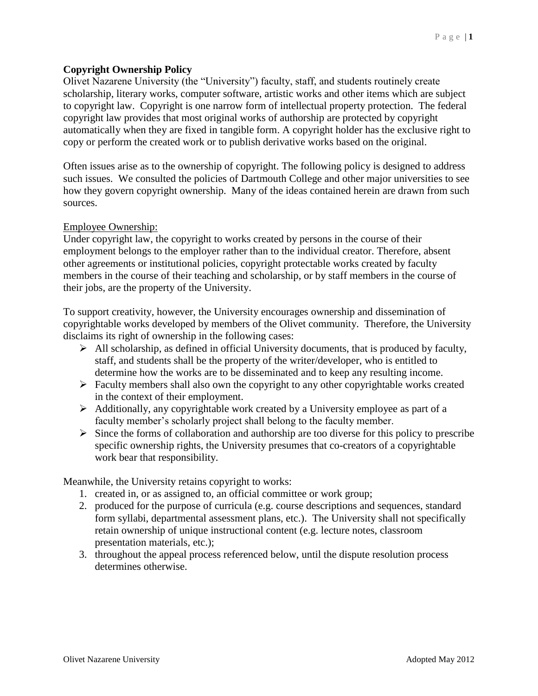# **Copyright Ownership Policy**

Olivet Nazarene University (the "University") faculty, staff, and students routinely create scholarship, literary works, computer software, artistic works and other items which are subject to copyright law. Copyright is one narrow form of intellectual property protection. The federal copyright law provides that most original works of authorship are protected by copyright automatically when they are fixed in tangible form. A copyright holder has the exclusive right to copy or perform the created work or to publish derivative works based on the original.

Often issues arise as to the ownership of copyright. The following policy is designed to address such issues. We consulted the policies of Dartmouth College and other major universities to see how they govern copyright ownership. Many of the ideas contained herein are drawn from such sources.

## Employee Ownership:

Under copyright law, the copyright to works created by persons in the course of their employment belongs to the employer rather than to the individual creator. Therefore, absent other agreements or institutional policies, copyright protectable works created by faculty members in the course of their teaching and scholarship, or by staff members in the course of their jobs, are the property of the University.

To support creativity, however, the University encourages ownership and dissemination of copyrightable works developed by members of the Olivet community. Therefore, the University disclaims its right of ownership in the following cases:

- $\triangleright$  All scholarship, as defined in official University documents, that is produced by faculty, staff, and students shall be the property of the writer/developer, who is entitled to determine how the works are to be disseminated and to keep any resulting income.
- $\triangleright$  Faculty members shall also own the copyright to any other copyrightable works created in the context of their employment.
- $\triangleright$  Additionally, any copyrightable work created by a University employee as part of a faculty member's scholarly project shall belong to the faculty member.
- $\triangleright$  Since the forms of collaboration and authorship are too diverse for this policy to prescribe specific ownership rights, the University presumes that co-creators of a copyrightable work bear that responsibility.

Meanwhile, the University retains copyright to works:

- 1. created in, or as assigned to, an official committee or work group;
- 2. produced for the purpose of curricula (e.g. course descriptions and sequences, standard form syllabi, departmental assessment plans, etc.). The University shall not specifically retain ownership of unique instructional content (e.g. lecture notes, classroom presentation materials, etc.);
- 3. throughout the appeal process referenced below, until the dispute resolution process determines otherwise.